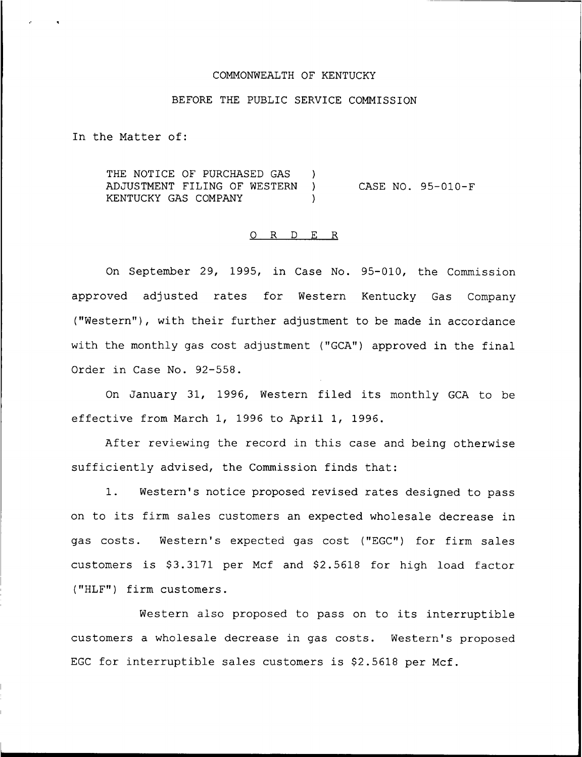## COMMONWEALTH OF KENTUCKY

# BEFORE THE PUBLIC SERVICE COMMISSION

In the Matter of:

THE NOTICE OF PURCHASED GAS ) ADJUSTMENT FILING OF WESTERN ) KENTUCKY GAS COMPANY CASE NO. 95-010-F

### 0 R <sup>D</sup> E R

On September 29, 1995, in Case No. 95-010, the Commission approved adjusted rates for Western Kentucky Gas Company ("Western"), with their further adjustment to be made in accordance with the monthly gas cost adjustment ("GCA") approved in the final Order in Case No. 92-558.

On January 31, 1996, Western filed its monthly GCA to be effective from March 1, 1996 to April 1, 1996.

After reviewing the record in this case and being otherwise sufficiently advised, the Commission finds that:

1. Western's notice proposed revised rates designed to pass on to its firm sales customers an expected wholesale decrease in gas costs. Western's expected gas cost ("EGC") for firm sales customers is \$3.3171 per Mcf and \$2.5618 for high load factor ("HLF") firm customers.

Western also proposed to pass on to its interruptible customers a wholesale decrease in gas costs. Western's proposed EGC for interruptible sales customers is  $$2.5618$  per Mcf.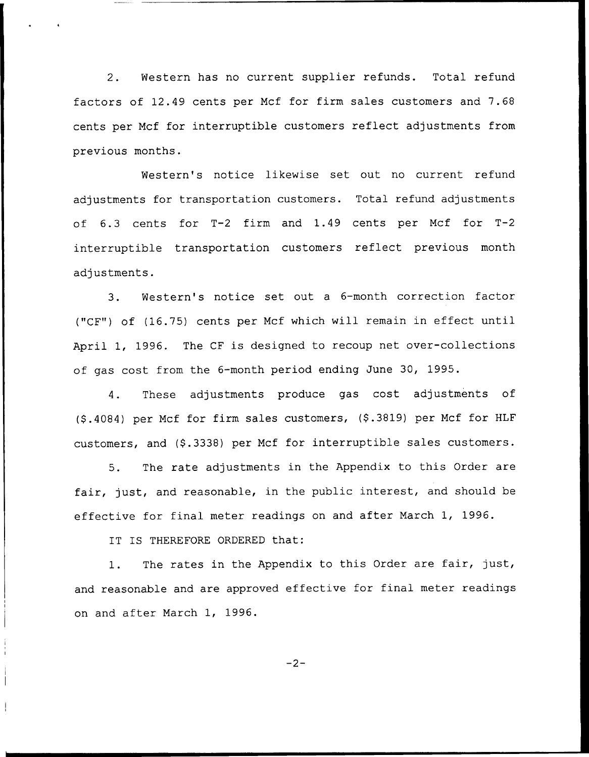2. Western has no current supplier refunds. Total refund factors of 12.49 cents per Mcf for firm sales customers and 7.68 cents per Mcf for interruptible customers reflect adjustments from previous months.

Western's notice likewise set out no current refund adjustments for transportation customers. Total refund adjustments of 6.3 cents for T-2 firm and 1.49 cents per Mcf for T-2 interruptible transportation customers reflect previous month adjustments.

3. Western's notice set out <sup>a</sup> 6-month correction factor ("CF") of (16.75) cents per Ncf which will remain in effect until April 1, 1996. The CF is designed to recoup net over-collections of gas cost from the 6-month period ending June 30, 1995.

4. These adjustments produce gas cost adjustments of (\$ .4084) per Ncf for firm sales customers, (\$ .3819) per Ncf for HLF customers, and (\$.3338) per Mcf for interruptible sales customers.

5. The rate adjustments in the Appendix to this Order are fair, just, and reasonable, in the public interest, and should be effective for final meter readings on and after March 1, 1996.

IT IS THEREFORE ORDERED that:

1. The rates in the Appendix to this Order are fair, just, and reasonable and are approved effective for final meter readings on and after March 1, 1996.

 $-2-$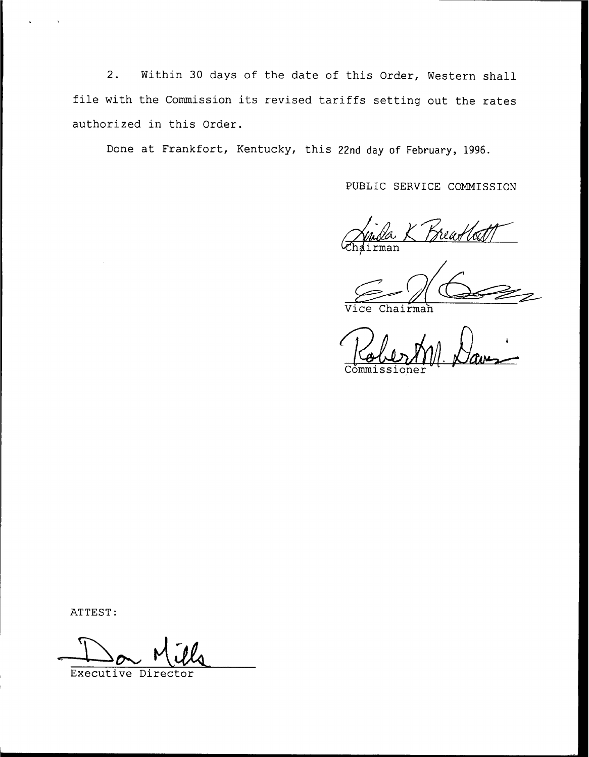2. Within <sup>30</sup> days of the date of this Order, Western shall file with the Commission its revised tariffs setting out the rates authorized in this Order.

Done at Frankfort, Kentucky, this 22nd day of February, 1996.

PUBLIC SERVICE COMMISSION

.<br>reas rman

Vice Chairman

Commissione

ATTEST:

Executive Director